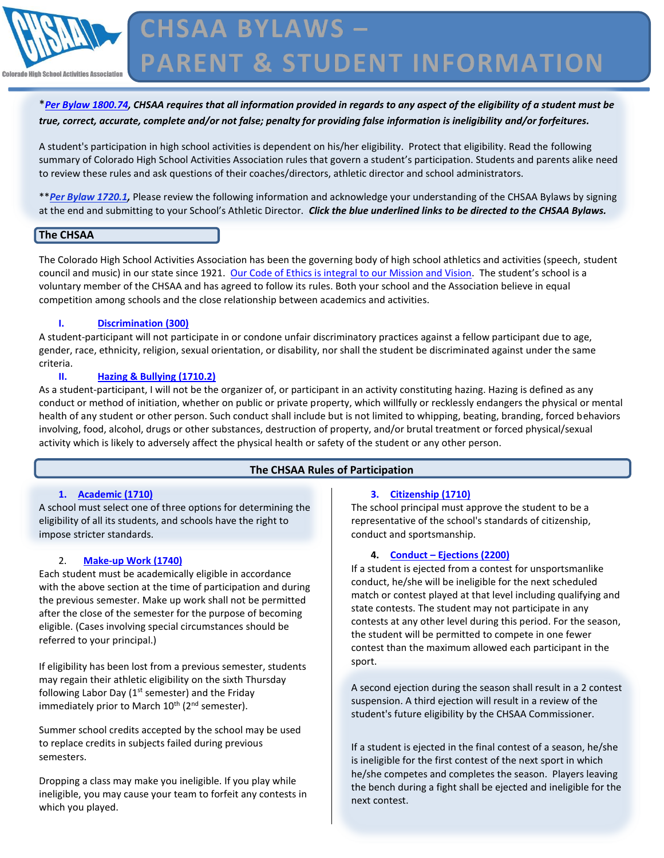

## \**[Per Bylaw 1800.74,](http://chsaanow.com/tools/bylaws/) CHSAA requires that all information provided in regards to any aspect of the eligibility of a student must be true, correct, accurate, complete and/or not false; penalty for providing false information is ineligibility and/or forfeitures.*

A student's participation in high school activities is dependent on his/her eligibility. Protect that eligibility. Read the following summary of Colorado High School Activities Association rules that govern a student's participation. Students and parents alike need to review these rules and ask questions of their coaches/directors, athletic director and school administrators.

\*\**[Per Bylaw 1720.1,](http://chsaanow.com/tools/bylaws/)* Please review the following information and acknowledge your understanding of the CHSAA Bylaws by signing at the end and submitting to your School's Athletic Director. *Click the blue underlined links to be directed to the CHSAA Bylaws.*

#### **The CHSAA**

The Colorado High School Activities Association has been the governing body of high school athletics and activities (speech, student council and music) in our state since 1921. [Our Code of Ethics is integral to our Mission and Vision.](http://chsaanow.com/tools/statement-of-code-of-ethics-colorado-high-school-activities-association/) The student's school is a voluntary member of the CHSAA and has agreed to follow its rules. Both your school and the Association believe in equal competition among schools and the close relationship between academics and activities.

#### **I. [Discrimination](http://chsaanow.com/tools/bylaws/) (300)**

A student-participant will not participate in or condone unfair discriminatory practices against a fellow participant due to age, gender, race, ethnicity, religion, sexual orientation, or disability, nor shall the student be discriminated against under the same criteria.

#### **II. [Hazing & Bullying](http://chsaanow.com/tools/bylaws/) (1710.2)**

As a student-participant, I will not be the organizer of, or participant in an activity constituting hazing. Hazing is defined as any conduct or method of initiation, whether on public or private property, which willfully or recklessly endangers the physical or mental health of any student or other person. Such conduct shall include but is not limited to whipping, beating, branding, forced behaviors involving, food, alcohol, drugs or other substances, destruction of property, and/or brutal treatment or forced physical/sexual activity which is likely to adversely affect the physical health or safety of the student or any other person.

## **The CHSAA Rules of Participation**

#### **1. [Academic](http://chsaanow.com/tools/bylaws/) (1710)**

A school must select one of three options for determining the eligibility of all its students, and schools have the right to impose stricter standards.

## 2. **[Make-up Work](http://chsaanow.com/tools/bylaws/) (1740)**

Each student must be academically eligible in accordance with the above section at the time of participation and during the previous semester. Make up work shall not be permitted after the close of the semester for the purpose of becoming eligible. (Cases involving special circumstances should be referred to your principal.)

If eligibility has been lost from a previous semester, students may regain their athletic eligibility on the sixth Thursday following Labor Day ( $1<sup>st</sup>$  semester) and the Friday immediately prior to March  $10^{th}$  ( $2^{nd}$  semester).

Summer school credits accepted by the school may be used to replace credits in subjects failed during previous semesters.

Dropping a class may make you ineligible. If you play while ineligible, you may cause your team to forfeit any contests in which you played.

#### **3. [Citizenship](http://chsaanow.com/tools/bylaws/) (1710)**

The school principal must approve the student to be a representative of the school's standards of citizenship, conduct and sportsmanship.

## **4. Conduct – [Ejections](http://chsaanow.com/tools/bylaws/) (2200)**

If a student is ejected from a contest for unsportsmanlike conduct, he/she will be ineligible for the next scheduled match or contest played at that level including qualifying and state contests. The student may not participate in any contests at any other level during this period. For the season, the student will be permitted to compete in one fewer contest than the maximum allowed each participant in the sport.

A second ejection during the season shall result in a 2 contest suspension. A third ejection will result in a review of the student's future eligibility by the CHSAA Commissioner.

If a student is ejected in the final contest of a season, he/she is ineligible for the first contest of the next sport in which he/she competes and completes the season. Players leaving the bench during a fight shall be ejected and ineligible for the next contest.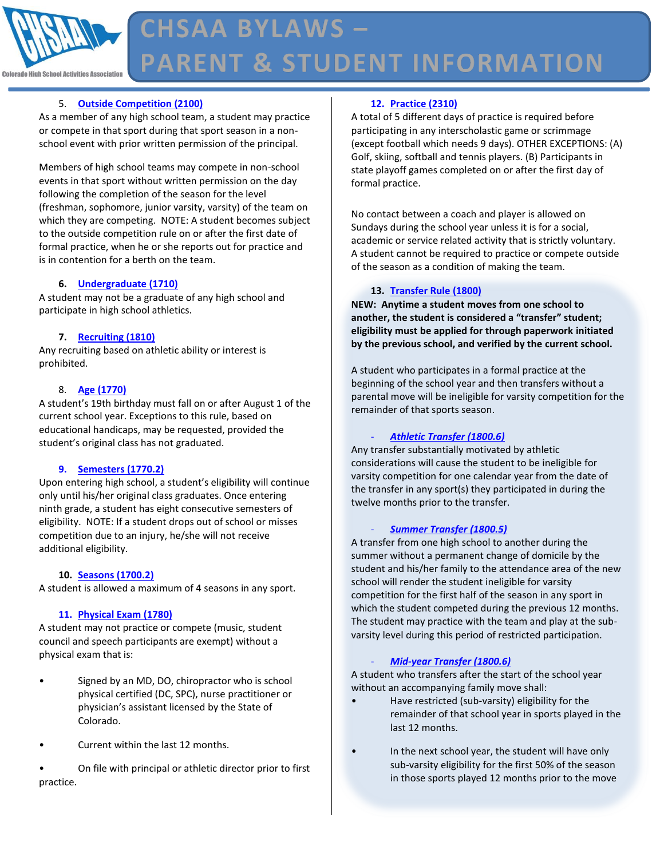

# **CHSAA BYLAWS -PARENT & STUDENT INFORMATION**

## 5. **[Outside Competition](http://chsaanow.com/tools/bylaws/) (2100)**

As a member of any high school team, a student may practice or compete in that sport during that sport season in a nonschool event with prior written permission of the principal.

Members of high school teams may compete in non-school events in that sport without written permission on the day following the completion of the season for the level (freshman, sophomore, junior varsity, varsity) of the team on which they are competing. NOTE: A student becomes subject to the outside competition rule on or after the first date of formal practice, when he or she reports out for practice and is in contention for a berth on the team.

#### **6. [Undergraduate](http://chsaanow.com/tools/bylaws/) (1710)**

A student may not be a graduate of any high school and participate in high school athletics.

#### **7. [Recruiting](http://chsaanow.com/tools/bylaws/) (1810)**

Any recruiting based on athletic ability or interest is prohibited.

#### 8. **[Age](http://chsaanow.com/tools/bylaws/) (1770)**

A student's 19th birthday must fall on or after August 1 of the current school year. Exceptions to this rule, based on educational handicaps, may be requested, provided the student's original class has not graduated.

#### **9. [Semesters](http://chsaanow.com/tools/bylaws/) (1770.2)**

Upon entering high school, a student's eligibility will continue only until his/her original class graduates. Once entering ninth grade, a student has eight consecutive semesters of eligibility. NOTE: If a student drops out of school or misses competition due to an injury, he/she will not receive additional eligibility.

#### **10. [Seasons](http://chsaanow.com/tools/bylaws/) (1700.2)**

A student is allowed a maximum of 4 seasons in any sport.

#### **11. [Physical Exam](http://chsaanow.com/tools/bylaws/) (1780)**

A student may not practice or compete (music, student council and speech participants are exempt) without a physical exam that is:

- Signed by an MD, DO, chiropractor who is school physical certified (DC, SPC), nurse practitioner or physician's assistant licensed by the State of Colorado.
- Current within the last 12 months.
- On file with principal or athletic director prior to first practice.

## **12. [Practice](http://chsaanow.com/tools/bylaws/) (2310)**

A total of 5 different days of practice is required before participating in any interscholastic game or scrimmage (except football which needs 9 days). OTHER EXCEPTIONS: (A) Golf, skiing, softball and tennis players. (B) Participants in state playoff games completed on or after the first day of formal practice.

No contact between a coach and player is allowed on Sundays during the school year unless it is for a social, academic or service related activity that is strictly voluntary. A student cannot be required to practice or compete outside of the season as a condition of making the team.

#### **13. [Transfer Rule](http://chsaanow.com/tools/bylaws/) (1800)**

**NEW: Anytime a student moves from one school to another, the student is considered a "transfer" student; eligibility must be applied for through paperwork initiated by the previous school, and verified by the current school.** 

A student who participates in a formal practice at the beginning of the school year and then transfers without a parental move will be ineligible for varsity competition for the remainder of that sports season.

#### - *[Athletic Transfer](http://chsaanow.com/tools/bylaws/) (1800.6)*

Any transfer substantially motivated by athletic considerations will cause the student to be ineligible for varsity competition for one calendar year from the date of the transfer in any sport(s) they participated in during the twelve months prior to the transfer.

#### - *[Summer Transfer](http://chsaanow.com/tools/bylaws/) (1800.5)*

A transfer from one high school to another during the summer without a permanent change of domicile by the student and his/her family to the attendance area of the new school will render the student ineligible for varsity competition for the first half of the season in any sport in which the student competed during the previous 12 months. The student may practice with the team and play at the subvarsity level during this period of restricted participation.

#### - *[Mid-year Transfer](http://chsaanow.com/tools/bylaws/) (1800.6)*

A student who transfers after the start of the school year without an accompanying family move shall:

- Have restricted (sub-varsity) eligibility for the remainder of that school year in sports played in the last 12 months.
- In the next school year, the student will have only sub-varsity eligibility for the first 50% of the season in those sports played 12 months prior to the move